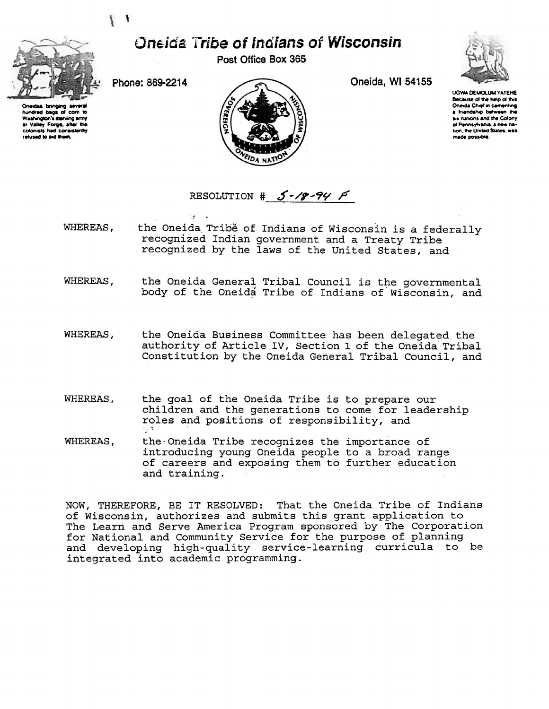## **Oneida Tribe of Indians of Wisconsin**

Post Office Box 365

Oneida, WI 54155



hundred bags of corn to Washington's starving army at Valley Forge, after the<br>colonists had consistently elused to aid them.

Phone: 869-2214

 $\sim$   $^{\prime\prime}$ 

 $\mathcal{A}^{\mathcal{A}}$  .  $\mathcal{A}^{\mathcal{A}}$ 

 $\mathbf{I}$ the Party



**UGWA DEMOLUM YATEHE** Because of the help of this Oneida Chief in cementing a friendship between the six nations and the Colony of Pennsylvania, a new nation, the United States, was made possible.

RESOLUTION #  $5 - 18 - 94$   $\beta$ 

- WHEREAS, the Oneida Tribé of Indians of Wisconsin is a federally recognized Indian government and a Treaty Tribe recognized by the laws of the United States, and
- WHEREAS, the Oneida General Tribal Council is the governmental body of the Oneida Tribe of Indians of Wisconsin, and
- WHEREAS, the Oneida Business Committee has been delegated the authority of Article IV, Section 1 of the Oneida Tribal Constitution by the Oneida General Tribal Council, and
- WHEREAS, the goal of the Oneida Tribe is to prepare our children and the generations to come for leadership roles and positions of responsibility, and
- WHEREAS, the Oneida Tribe recognizes the importance of introducing young Oneida people to a broad range of careers and exposing them to further education and training.

NOW, THEREFORE, BE IT RESOLVED: That the Oneida Tribe of Indians of Wisconsin, authorizes and submits this grant application to The Learn and Serve America Program sponsored by The Corporation for National and Community Service for the purpose of planning and developing high-quality service-learning curricula to be integrated into academic programming.